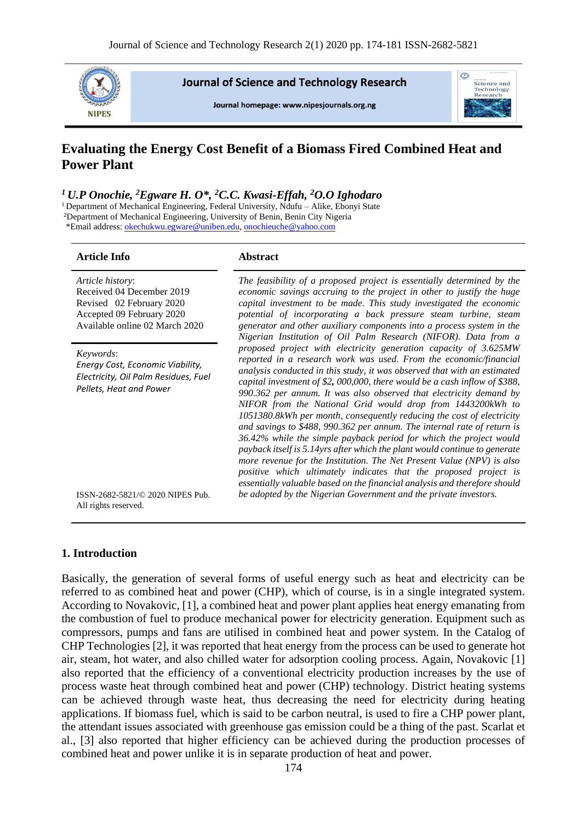

**Journal of Science and Technology Research** 

Journal homepage: www.nipesiournals.org.ng



# **Evaluating the Energy Cost Benefit of a Biomass Fired Combined Heat and Power Plant**

#### *<sup>1</sup> U.P Onochie, <sup>2</sup>Egware H. O\*, <sup>2</sup>C.C. Kwasi-Effah, <sup>2</sup>O.O Ighodaro*

<sup>1</sup> Department of Mechanical Engineering, Federal University, Ndufu – Alike, Ebonyi State

<sup>2</sup>Department of Mechanical Engineering, University of Benin, Benin City Nigeria

\*Email address[: okechukwu.egware@uniben.edu,](mailto:Okechukwu.egware@uniben.edu) [onochieuche@yahoo.com](mailto:onochieuche@yahoo.com)

#### **Article Info Abstract**

| Article history:<br>Received 04 December 2019<br>Revised 02 February 2020<br>Accepted 09 February 2020<br>Available online 02 March 2020 | The feasibility of a proposed project is essentially determined by the<br>economic savings accruing to the project in other to justify the huge<br>capital investment to be made. This study investigated the economic<br>potential of incorporating a back pressure steam turbine, steam<br>generator and other auxiliary components into a process system in the<br>Nigerian Institution of Oil Palm Research (NIFOR). Data from a                                                                                                                                                                                                                                                                                                                                                                                                                                                                                                                                  |
|------------------------------------------------------------------------------------------------------------------------------------------|-----------------------------------------------------------------------------------------------------------------------------------------------------------------------------------------------------------------------------------------------------------------------------------------------------------------------------------------------------------------------------------------------------------------------------------------------------------------------------------------------------------------------------------------------------------------------------------------------------------------------------------------------------------------------------------------------------------------------------------------------------------------------------------------------------------------------------------------------------------------------------------------------------------------------------------------------------------------------|
| Keywords:<br>Energy Cost, Economic Viability,<br>Electricity, Oil Palm Residues, Fuel<br>Pellets, Heat and Power                         | proposed project with electricity generation capacity of 3.625MW<br>reported in a research work was used. From the economic/financial<br>analysis conducted in this study, it was observed that with an estimated<br>capital investment of \$2, 000,000, there would be a cash inflow of \$388,<br>990.362 per annum. It was also observed that electricity demand by<br>NIFOR from the National Grid would drop from 1443200kWh to<br>1051380.8kWh per month, consequently reducing the cost of electricity<br>and savings to \$488, 990.362 per annum. The internal rate of return is<br>36.42% while the simple payback period for which the project would<br>payback itself is 5.14yrs after which the plant would continue to generate<br>more revenue for the Institution. The Net Present Value (NPV) is also<br>positive which ultimately indicates that the proposed project is<br>essentially valuable based on the financial analysis and therefore should |
| ISSN-2682-5821/© 2020 NIPES Pub.<br>All rights reserved.                                                                                 | be adopted by the Nigerian Government and the private investors.                                                                                                                                                                                                                                                                                                                                                                                                                                                                                                                                                                                                                                                                                                                                                                                                                                                                                                      |

## **1. Introduction**

Basically, the generation of several forms of useful energy such as heat and electricity can be referred to as combined heat and power (CHP), which of course, is in a single integrated system. According to Novakovic, [1], a combined heat and power plant applies heat energy emanating from the combustion of fuel to produce mechanical power for electricity generation. Equipment such as compressors, pumps and fans are utilised in combined heat and power system. In the Catalog of CHP Technologies [2], it was reported that heat energy from the process can be used to generate hot air, steam, hot water, and also chilled water for adsorption cooling process. Again, Novakovic [1] also reported that the efficiency of a conventional electricity production increases by the use of process waste heat through combined heat and power (CHP) technology. District heating systems can be achieved through waste heat, thus decreasing the need for electricity during heating applications. If biomass fuel, which is said to be carbon neutral, is used to fire a CHP power plant, the attendant issues associated with greenhouse gas emission could be a thing of the past. Scarlat et al., [3] also reported that higher efficiency can be achieved during the production processes of combined heat and power unlike it is in separate production of heat and power.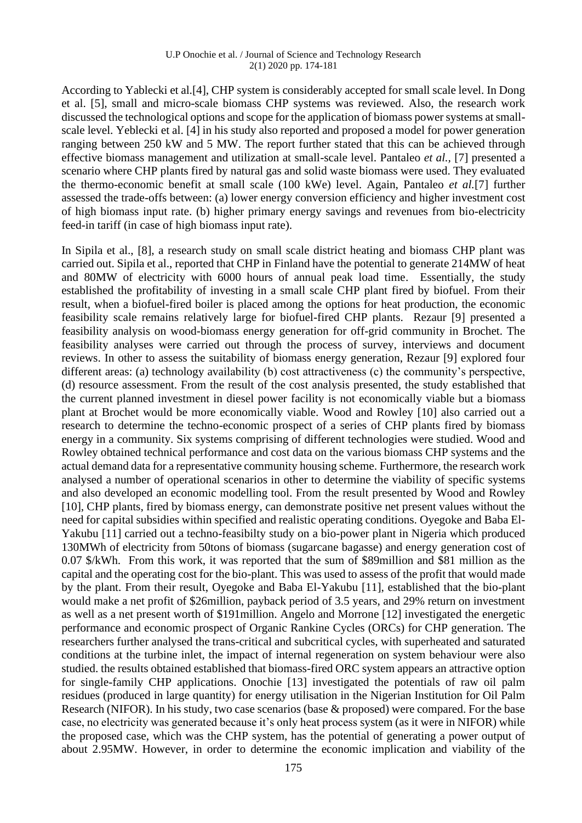#### U.P Onochie et al. / Journal of Science and Technology Research 2(1) 2020 pp. 174-181

According to Yablecki et al.[4], CHP system is considerably accepted for small scale level. In Dong et al. [5], small and micro-scale biomass CHP systems was reviewed. Also, the research work discussed the technological options and scope for the application of biomass power systems at smallscale level. Yeblecki et al. [4] in his study also reported and proposed a model for power generation ranging between 250 kW and 5 MW. The report further stated that this can be achieved through effective biomass management and utilization at small-scale level. Pantaleo *et al.,* [7] presented a scenario where CHP plants fired by natural gas and solid waste biomass were used. They evaluated the thermo-economic benefit at small scale (100 kWe) level. Again, Pantaleo *et al.*[7] further assessed the trade-offs between: (a) lower energy conversion efficiency and higher investment cost of high biomass input rate. (b) higher primary energy savings and revenues from bio-electricity feed-in tariff (in case of high biomass input rate).

In Sipila et al., [8], a research study on small scale district heating and biomass CHP plant was carried out. Sipila et al., reported that CHP in Finland have the potential to generate 214MW of heat and 80MW of electricity with 6000 hours of annual peak load time. Essentially, the study established the profitability of investing in a small scale CHP plant fired by biofuel. From their result, when a biofuel-fired boiler is placed among the options for heat production, the economic feasibility scale remains relatively large for biofuel-fired CHP plants. Rezaur [9] presented a feasibility analysis on wood-biomass energy generation for off-grid community in Brochet. The feasibility analyses were carried out through the process of survey, interviews and document reviews. In other to assess the suitability of biomass energy generation, Rezaur [9] explored four different areas: (a) technology availability (b) cost attractiveness (c) the community's perspective, (d) resource assessment. From the result of the cost analysis presented, the study established that the current planned investment in diesel power facility is not economically viable but a biomass plant at Brochet would be more economically viable. Wood and Rowley [10] also carried out a research to determine the techno-economic prospect of a series of CHP plants fired by biomass energy in a community. Six systems comprising of different technologies were studied. Wood and Rowley obtained technical performance and cost data on the various biomass CHP systems and the actual demand data for a representative community housing scheme. Furthermore, the research work analysed a number of operational scenarios in other to determine the viability of specific systems and also developed an economic modelling tool. From the result presented by Wood and Rowley [10], CHP plants, fired by biomass energy, can demonstrate positive net present values without the need for capital subsidies within specified and realistic operating conditions. Oyegoke and Baba El-Yakubu [11] carried out a techno-feasibilty study on a bio-power plant in Nigeria which produced 130MWh of electricity from 50tons of biomass (sugarcane bagasse) and energy generation cost of 0.07 \$/kWh. From this work, it was reported that the sum of \$89million and \$81 million as the capital and the operating cost for the bio-plant. This was used to assess of the profit that would made by the plant. From their result, Oyegoke and Baba El-Yakubu [11], established that the bio-plant would make a net profit of \$26million, payback period of 3.5 years, and 29% return on investment as well as a net present worth of \$191million. Angelo and Morrone [12] investigated the energetic performance and economic prospect of Organic Rankine Cycles (ORCs) for CHP generation. The researchers further analysed the trans-critical and subcritical cycles, with superheated and saturated conditions at the turbine inlet, the impact of internal regeneration on system behaviour were also studied. the results obtained established that biomass-fired ORC system appears an attractive option for single-family CHP applications. Onochie [13] investigated the potentials of raw oil palm residues (produced in large quantity) for energy utilisation in the Nigerian Institution for Oil Palm Research (NIFOR). In his study, two case scenarios (base & proposed) were compared. For the base case, no electricity was generated because it's only heat process system (as it were in NIFOR) while the proposed case, which was the CHP system, has the potential of generating a power output of about 2.95MW. However, in order to determine the economic implication and viability of the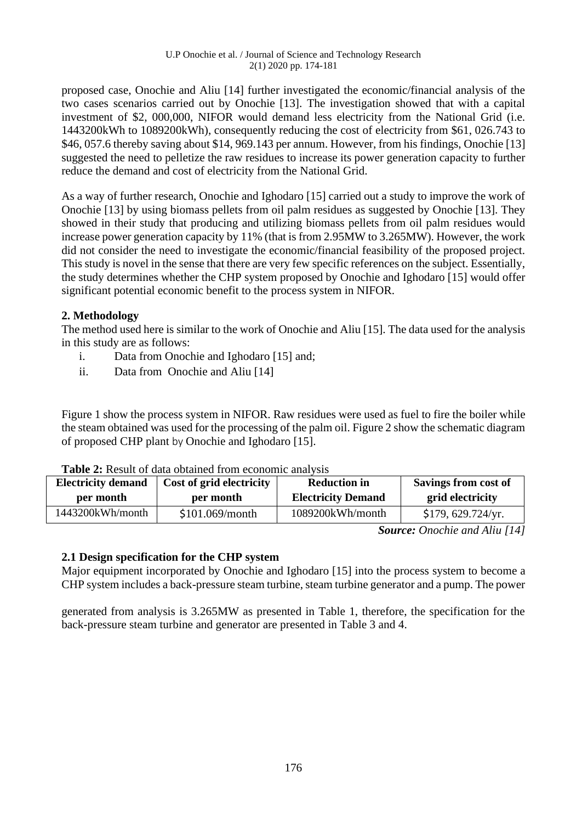proposed case, Onochie and Aliu [14] further investigated the economic/financial analysis of the two cases scenarios carried out by Onochie [13]. The investigation showed that with a capital investment of \$2, 000,000, NIFOR would demand less electricity from the National Grid (i.e. 1443200kWh to 1089200kWh), consequently reducing the cost of electricity from \$61, 026.743 to \$46, 057.6 thereby saving about \$14, 969.143 per annum. However, from his findings, Onochie [13] suggested the need to pelletize the raw residues to increase its power generation capacity to further reduce the demand and cost of electricity from the National Grid.

As a way of further research, Onochie and Ighodaro [15] carried out a study to improve the work of Onochie [13] by using biomass pellets from oil palm residues as suggested by Onochie [13]. They showed in their study that producing and utilizing biomass pellets from oil palm residues would increase power generation capacity by 11% (that is from 2.95MW to 3.265MW). However, the work did not consider the need to investigate the economic/financial feasibility of the proposed project. This study is novel in the sense that there are very few specific references on the subject. Essentially, the study determines whether the CHP system proposed by Onochie and Ighodaro [15] would offer significant potential economic benefit to the process system in NIFOR.

# **2. Methodology**

The method used here is similar to the work of Onochie and Aliu [15]. The data used for the analysis in this study are as follows:

- i. Data from Onochie and Ighodaro [15] and;
- ii. Data from Onochie and Aliu [14]

Figure 1 show the process system in NIFOR. Raw residues were used as fuel to fire the boiler while the steam obtained was used for the processing of the palm oil. Figure 2 show the schematic diagram of proposed CHP plant by Onochie and Ighodaro [15].

| <b>Electricity demand</b> | Cost of grid electricity | <b>Reduction in</b>       | Savings from cost of |
|---------------------------|--------------------------|---------------------------|----------------------|
| per month                 | per month                | <b>Electricity Demand</b> | grid electricity     |
| 1443200kWh/month          | \$101.069/month          | 1089200kWh/month          | \$179, 629.724/yr.   |

**Table 2:** Result of data obtained from economic analysis

*Source: Onochie and Aliu [14]*

# **2.1 Design specification for the CHP system**

Major equipment incorporated by Onochie and Ighodaro [15] into the process system to become a CHP system includes a back-pressure steam turbine, steam turbine generator and a pump. The power

generated from analysis is 3.265MW as presented in Table 1, therefore, the specification for the back-pressure steam turbine and generator are presented in Table 3 and 4.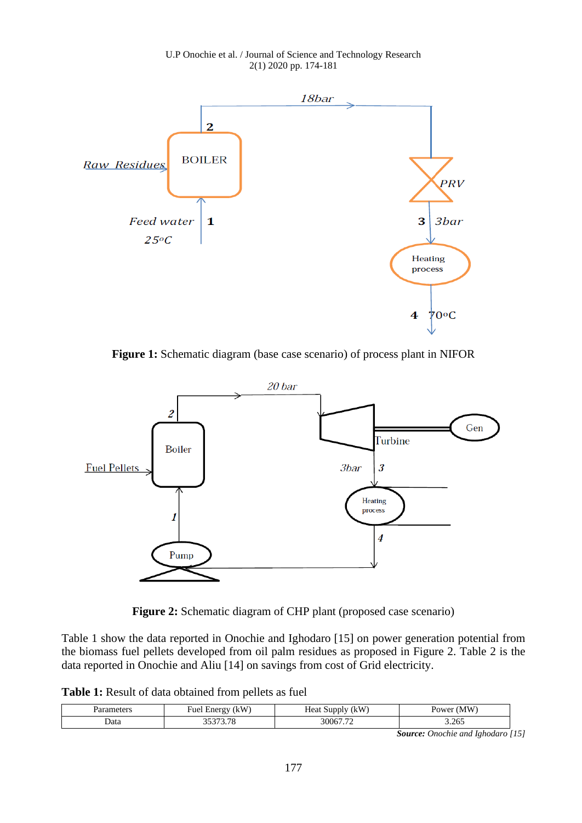U.P Onochie et al. / Journal of Science and Technology Research 2(1) 2020 pp. 174-181



**Figure 1:** Schematic diagram (base case scenario) of process plant in NIFOR



**Figure 2:** Schematic diagram of CHP plant (proposed case scenario)

Table 1 show the data reported in Onochie and Ighodaro [15] on power generation potential from the biomass fuel pellets developed from oil palm residues as proposed in Figure 2. Table 2 is the data reported in Onochie and Aliu [14] on savings from cost of Grid electricity.

**Table 1:** Result of data obtained from pellets as fuel

|      | (kW                      | kW                                     | M W   |
|------|--------------------------|----------------------------------------|-------|
|      | Fuel Energy              | Heat Supply                            | Power |
| Data | $\overline{\phantom{0}}$ | $\overline{a}$<br>$.106$ <sup>-1</sup> | 3.265 |

*Source: Onochie and Ighodaro [15]*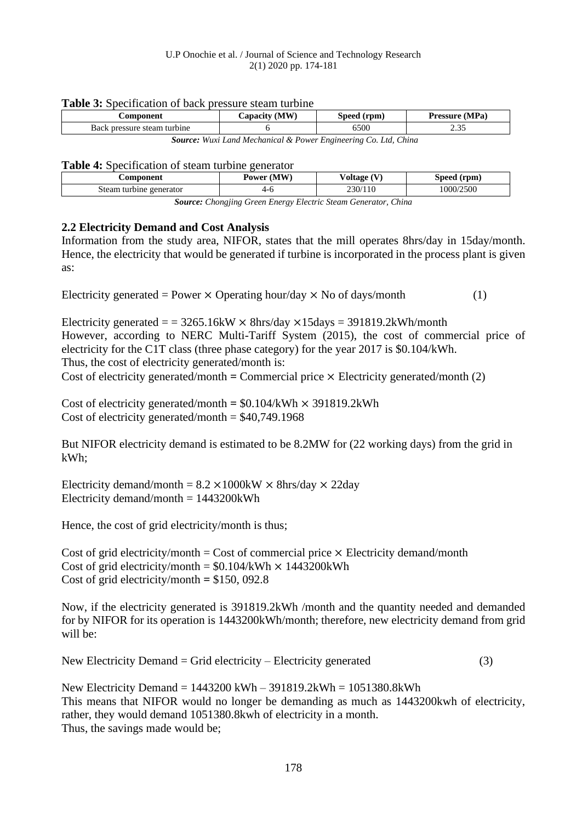#### U.P Onochie et al. / Journal of Science and Technology Research 2(1) 2020 pp. 174-181

#### **Table 3:** Specification of back pressure steam turbine

| <b>Component</b>            | (MW)<br>$\mathcal{L}$ apacıty $\mathcal{L}$ | Speed (rpm) | Pressure (MPa) |
|-----------------------------|---------------------------------------------|-------------|----------------|
| Back pressure steam turbine |                                             | 5500        | $\sim$<br>ے ب  |

*Source: Wuxi Land Mechanical & Power Engineering Co. Ltd, China*

#### **Table 4:** Specification of steam turbine generator

| Component                                                             | Power (MW) | Voltage (V) | Speed (rpm) |
|-----------------------------------------------------------------------|------------|-------------|-------------|
| Steam turbine generator                                               | 4-6        | 230/110     | 1000/2500   |
| <b>Source:</b> Chongjing Green Energy Electric Steam Generator, China |            |             |             |

## **2.2 Electricity Demand and Cost Analysis**

Information from the study area, NIFOR, states that the mill operates 8hrs/day in 15day/month. Hence, the electricity that would be generated if turbine is incorporated in the process plant is given as:

Electricity generated = Power  $\times$  Operating hour/day  $\times$  No of days/month (1)

Electricity generated  $=$  = 3265.16kW  $\times$  8hrs/day  $\times$ 15days = 391819.2kWh/month However, according to NERC Multi-Tariff System (2015), the cost of commercial price of electricity for the C1T class (three phase category) for the year 2017 is \$0.104/kWh. Thus, the cost of electricity generated/month is: Cost of electricity generated/month  $=$  Commercial price  $\times$  Electricity generated/month (2)

Cost of electricity generated/month =  $$0.104/kWh \times 391819.2kWh$ Cost of electricity generated/month  $= $40,749.1968$ 

But NIFOR electricity demand is estimated to be 8.2MW for (22 working days) from the grid in kWh;

Electricity demand/month =  $8.2 \times 1000$ kW  $\times$  8hrs/day  $\times$  22day Electricity demand/month  $= 1443200$ kWh

Hence, the cost of grid electricity/month is thus;

Cost of grid electricity/month = Cost of commercial price  $\times$  Electricity demand/month Cost of grid electricity/month =  $$0.104/kWh \times 1443200kWh$ Cost of grid electricity/month **=** \$150, 092.8

Now, if the electricity generated is 391819.2kWh /month and the quantity needed and demanded for by NIFOR for its operation is 1443200kWh/month; therefore, new electricity demand from grid will be:

New Electricity Demand = Grid electricity – Electricity generated  $(3)$ 

New Electricity Demand = 1443200 kWh – 391819.2kWh = 1051380.8kWh This means that NIFOR would no longer be demanding as much as 1443200kwh of electricity, rather, they would demand 1051380.8kwh of electricity in a month. Thus, the savings made would be;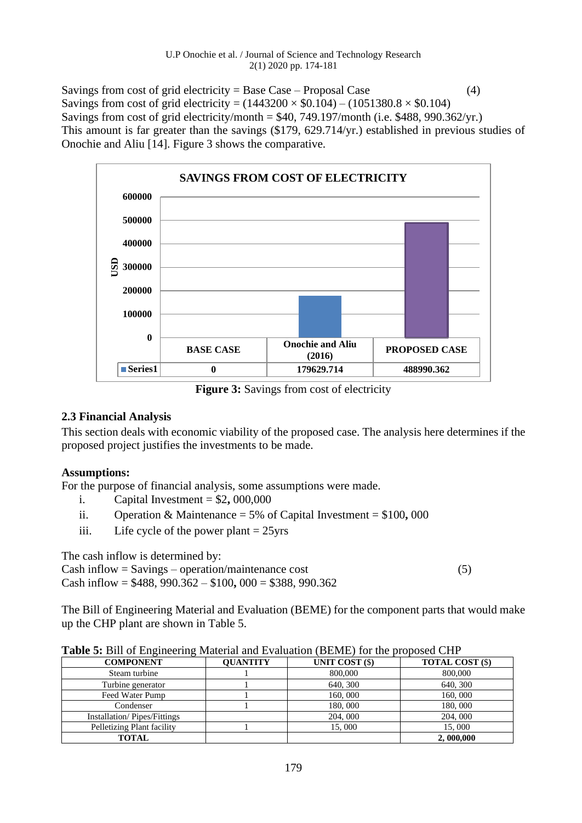Savings from cost of grid electricity = Base Case – Proposal Case  $(4)$ Savings from cost of grid electricity =  $(1443200 \times $0.104) - (1051380.8 \times $0.104)$ Savings from cost of grid electricity/month =  $$40, 749.197$ /month (i.e.  $$488, 990.362$ /yr.) This amount is far greater than the savings (\$179, 629.714/yr.) established in previous studies of Onochie and Aliu [14]. Figure 3 shows the comparative.



**Figure 3:** Savings from cost of electricity

# **2.3 Financial Analysis**

This section deals with economic viability of the proposed case. The analysis here determines if the proposed project justifies the investments to be made.

# **Assumptions:**

For the purpose of financial analysis, some assumptions were made.

- i. Capital Investment  $= $2,000,000$
- ii. Operation & Maintenance = 5% of Capital Investment = \$100**,** 000
- iii. Life cycle of the power plant  $= 25$ yrs

The cash inflow is determined by:

Cash inflow  $=$  Savings – operation/maintenance cost (5) Cash inflow = \$488, 990.362 – \$100**,** 000 = \$388, 990.362

The Bill of Engineering Material and Evaluation (BEME) for the component parts that would make up the CHP plant are shown in Table 5.

|  | Table 5: Bill of Engineering Material and Evaluation (BEME) for the proposed CHP |
|--|----------------------------------------------------------------------------------|

| <b>COMPONENT</b>                   | <b>OUANTITY</b> | UNIT COST (\$) | <b>TOTAL COST (\$)</b> |
|------------------------------------|-----------------|----------------|------------------------|
| Steam turbine                      |                 | 800,000        | 800,000                |
| Turbine generator                  |                 | 640, 300       | 640, 300               |
| Feed Water Pump                    |                 | 160,000        | 160,000                |
| Condenser                          |                 | 180,000        | 180,000                |
| <b>Installation/Pipes/Fittings</b> |                 | 204,000        | 204, 000               |
| Pelletizing Plant facility         |                 | 15,000         | 15,000                 |
| <b>TOTAL</b>                       |                 |                | 2,000,000              |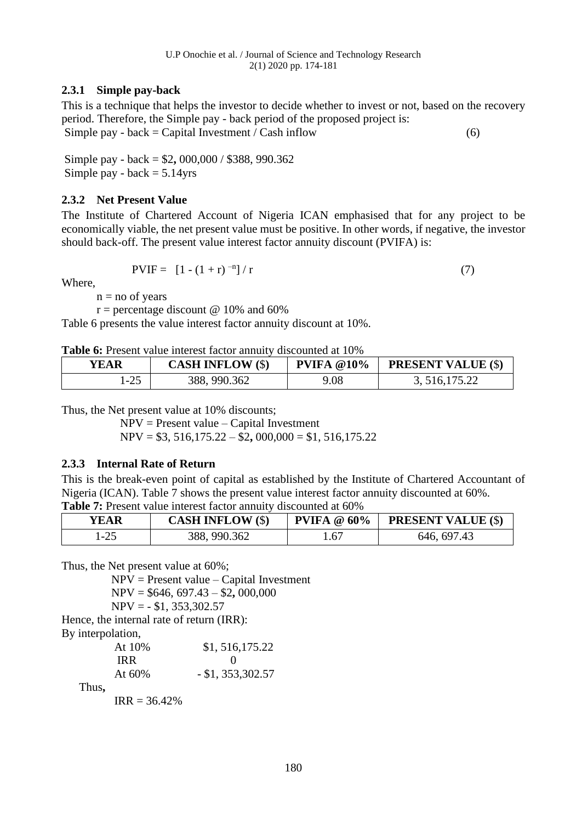## **2.3.1 Simple pay-back**

This is a technique that helps the investor to decide whether to invest or not, based on the recovery period. Therefore, the Simple pay - back period of the proposed project is: Simple pay - back = Capital Investment / Cash inflow (6)

Simple pay - back = \$2**,** 000,000 / \$388, 990.362 Simple pay - back  $= 5.14$ yrs

## **2.3.2 Net Present Value**

The Institute of Chartered Account of Nigeria ICAN emphasised that for any project to be economically viable, the net present value must be positive. In other words, if negative, the investor should back-off. The present value interest factor annuity discount (PVIFA) is:

$$
PVIF = [1 - (1 + r)^{-n}] / r \tag{7}
$$

Where,

 $n = no$  of years

 $r =$  percentage discount @ 10% and 60%

Table 6 presents the value interest factor annuity discount at 10%.

**Table 6:** Present value interest factor annuity discounted at 10%

| <b>YEAR</b> | <b>CASH INFLOW (\$)</b> | <b>PVIFA @10%</b> | <b>PRESENT VALUE (\$)</b> |
|-------------|-------------------------|-------------------|---------------------------|
| $1-25$      | 388, 990.362            | 9.08              | 3, 516, 175.22            |

Thus, the Net present value at 10% discounts;

NPV = Present value – Capital Investment

NPV = \$3, 516,175.22 – \$2**,** 000,000 = \$1, 516,175.22

## **2.3.3 Internal Rate of Return**

This is the break-even point of capital as established by the Institute of Chartered Accountant of Nigeria (ICAN). Table 7 shows the present value interest factor annuity discounted at 60%. **Table 7:** Present value interest factor annuity discounted at 60%

| <b>YEAR</b> | <b>CASH INFLOW (\$)</b> | <b>PVIFA</b> @ $60\%$ | <b>PRESENT VALUE (\$)</b> |
|-------------|-------------------------|-----------------------|---------------------------|
| l-25        | 388, 990.362            | .67                   | 646, 697.43               |

Thus, the Net present value at 60%;

 NPV = Present value – Capital Investment NPV = \$646, 697.43 – \$2**,** 000,000  $NPV = - $1, 353, 302.57$ 

Hence, the internal rate of return (IRR):

By interpolation,

|       | At 10%          | \$1,516,175.22        |
|-------|-----------------|-----------------------|
|       | IR R            |                       |
|       | At $60\%$       | $-$ \$1, 353, 302. 57 |
| Thus, |                 |                       |
|       | $IRR = 36.42\%$ |                       |